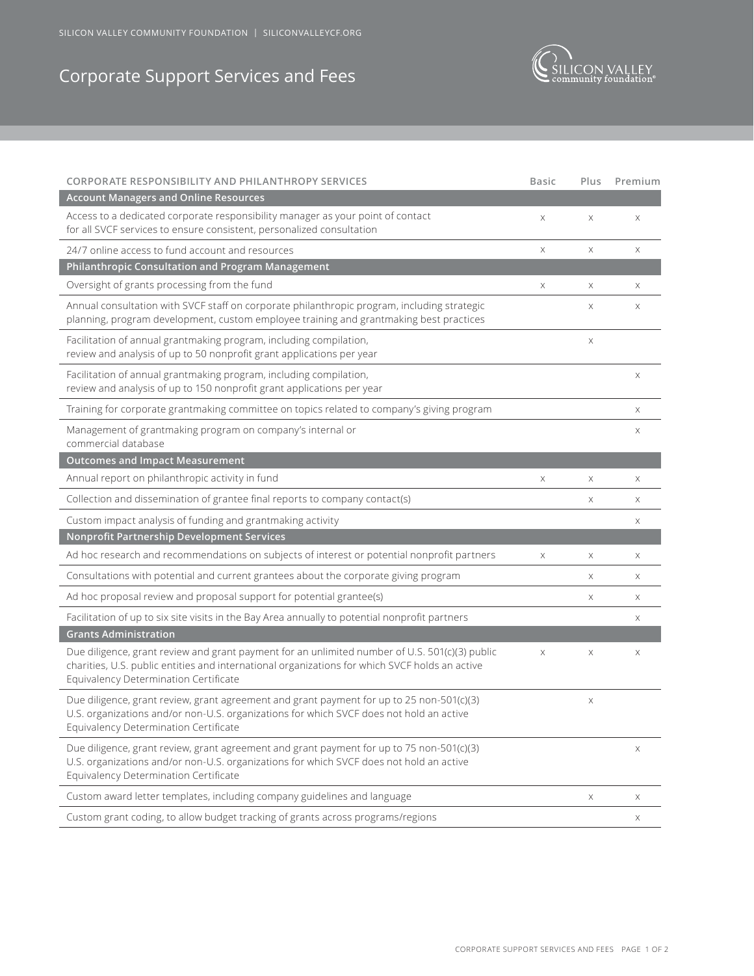SILICON VALLEY COMMUNITY FOUNDATION | SILICONVALLEYCF.ORG

## Corporate Support Services and Fees



| CORPORATE RESPONSIBILITY AND PHILANTHROPY SERVICES                                                                                                                                                                                        | <b>Basic</b> | Plus        | Premium               |
|-------------------------------------------------------------------------------------------------------------------------------------------------------------------------------------------------------------------------------------------|--------------|-------------|-----------------------|
| <b>Account Managers and Online Resources</b>                                                                                                                                                                                              |              |             |                       |
| Access to a dedicated corporate responsibility manager as your point of contact<br>for all SVCF services to ensure consistent, personalized consultation                                                                                  | Χ            | $\mathsf X$ | Χ                     |
| 24/7 online access to fund account and resources                                                                                                                                                                                          | X            | X           | $\boldsymbol{\times}$ |
| Philanthropic Consultation and Program Management                                                                                                                                                                                         |              |             |                       |
| Oversight of grants processing from the fund                                                                                                                                                                                              | Χ            | Χ           | Χ                     |
| Annual consultation with SVCF staff on corporate philanthropic program, including strategic<br>planning, program development, custom employee training and grantmaking best practices                                                     |              | Χ           | Χ                     |
| Facilitation of annual grantmaking program, including compilation,<br>review and analysis of up to 50 nonprofit grant applications per year                                                                                               |              | Χ           |                       |
| Facilitation of annual grantmaking program, including compilation,<br>review and analysis of up to 150 nonprofit grant applications per year                                                                                              |              |             | $\boldsymbol{\times}$ |
| Training for corporate grantmaking committee on topics related to company's giving program                                                                                                                                                |              |             | Χ                     |
| Management of grantmaking program on company's internal or<br>commercial database                                                                                                                                                         |              |             | Χ                     |
| <b>Outcomes and Impact Measurement</b>                                                                                                                                                                                                    |              |             |                       |
| Annual report on philanthropic activity in fund                                                                                                                                                                                           | Χ            | Χ           | Χ                     |
| Collection and dissemination of grantee final reports to company contact(s)                                                                                                                                                               |              | Χ           | Χ                     |
| Custom impact analysis of funding and grantmaking activity                                                                                                                                                                                |              |             | Χ                     |
| Nonprofit Partnership Development Services                                                                                                                                                                                                |              |             |                       |
| Ad hoc research and recommendations on subjects of interest or potential nonprofit partners                                                                                                                                               | X            | X           | $\times$              |
| Consultations with potential and current grantees about the corporate giving program                                                                                                                                                      |              | Χ           | Χ                     |
| Ad hoc proposal review and proposal support for potential grantee(s)                                                                                                                                                                      |              | Χ           | Χ                     |
| Facilitation of up to six site visits in the Bay Area annually to potential nonprofit partners                                                                                                                                            |              |             | Χ                     |
| <b>Grants Administration</b>                                                                                                                                                                                                              |              |             |                       |
| Due diligence, grant review and grant payment for an unlimited number of U.S. 501(c)(3) public<br>charities, U.S. public entities and international organizations for which SVCF holds an active<br>Equivalency Determination Certificate | $\mathsf X$  | Χ           | Χ                     |
| Due diligence, grant review, grant agreement and grant payment for up to 25 non-501(c)(3)<br>U.S. organizations and/or non-U.S. organizations for which SVCF does not hold an active<br>Equivalency Determination Certificate             |              | Χ           |                       |
| Due diligence, grant review, grant agreement and grant payment for up to 75 non-501(c)(3)<br>U.S. organizations and/or non-U.S. organizations for which SVCF does not hold an active<br>Equivalency Determination Certificate             |              |             | Χ                     |
| Custom award letter templates, including company guidelines and language                                                                                                                                                                  |              | X           | Х                     |
| Custom grant coding, to allow budget tracking of grants across programs/regions                                                                                                                                                           |              |             | Χ                     |